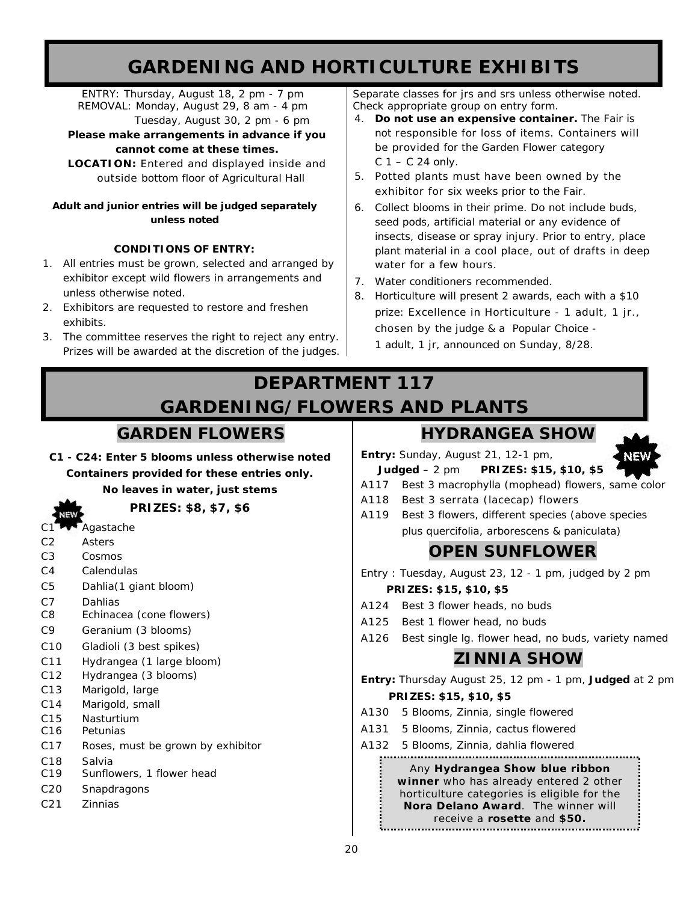# **GARDENING AND HORTICULTURE EXHIBITS**

ENTRY: Thursday, August 18, 2 pm - 7 pm REMOVAL: Monday, August 29, 8 am - 4 pm Tuesday, August 30, 2 pm - 6 pm

**Please make arrangements in advance if you** 

### **cannot come at these times.**

**LOCATION:** Entered and displayed inside and outside bottom floor of Agricultural Hall

### *Adult and junior entries will be judged separately unless noted*

### **CONDITIONS OF ENTRY:**

- 1. All entries must be grown, selected and arranged by exhibitor except wild flowers in arrangements and unless otherwise noted.
- 2. Exhibitors are requested to restore and freshen exhibits.
- 3. The committee reserves the right to reject any entry. Prizes will be awarded at the discretion of the judges.

Separate classes for jrs and srs unless otherwise noted. Check appropriate group on entry form.

- 4. **Do not use an expensive container.** The Fair is not responsible for loss of items. Containers will be provided for the Garden Flower category  $C$  1 –  $C$  24 only.
- 5. Potted plants must have been owned by the exhibitor for six weeks prior to the Fair.
- 6. Collect blooms in their prime. Do not include buds, seed pods, artificial material or any evidence of insects, disease or spray injury. Prior to entry, place plant material in a cool place, out of drafts in deep water for a few hours.
- 7. Water conditioners recommended.
- 8. Horticulture will present 2 awards, each with a \$10 prize: *Excellence in Horticulture -* 1 adult, 1 jr., chosen by the judge & a *Popular Choice -* 1 adult, 1 jr, announced on Sunday, 8/28.

# **DEPARTMENT 117 GARDENING/FLOWERS AND PLANTS**

# **GARDEN FLOWERS**

*C1 - C24: Enter 5 blooms unless otherwise noted Containers provided for these entries only. No leaves in water, just stems*

**PRIZES: \$8, \$7, \$6**

- C1<sup>-</sup>Agastache
- C2 Asters
- C3 Cosmos
- C4 Calendulas
- C5 Dahlia(1 giant bloom)
- C7 Dahlias
- C8 Echinacea (cone flowers)
- C9 Geranium (3 blooms)
- C10 Gladioli (3 best spikes)
- C11 Hydrangea (1 large bloom)
- C12 Hydrangea (3 blooms)
- C13 Marigold, large
- C14 Marigold, small
- C15 Nasturtium
- C16 Petunias
- C17 Roses, must be grown by exhibitor
- C18 Salvia
- C19 Sunflowers, 1 flower head
- C20 Snapdragons
- C21 Zinnias

# **HYDRANGEA SHOW**

**Entry:** Sunday, August 21, 12-1 pm,



 **Judged** – 2 pm **PRIZES: \$15, \$10, \$5**



- A118 Best 3 serrata (lacecap) flowers
- A119 Best 3 flowers, different species (above species plus quercifolia, arborescens & paniculata)

# **OPEN SUNFLOWER**

- Entry : Tuesday, August 23, 12 1 pm, judged by 2 pm **PRIZES: \$15, \$10, \$5**
- A124 Best 3 flower heads, no buds
- A125 Best 1 flower head, no buds
- A126 Best single lg. flower head, no buds, variety named

# **ZINNIA SHOW**

**Entry:** Thursday August 25, 12 pm - 1 pm, **Judged** at 2 pm  **PRIZES: \$15, \$10, \$5**

- A130 5 Blooms, Zinnia, single flowered
- A131 5 Blooms, Zinnia, cactus flowered
- A132 5 Blooms, Zinnia, dahlia flowered

### 

### Any **Hydrangea Show blue ribbon winner** who has already entered 2 other horticulture categories is eligible for the **Nora Delano Award**. The winner will receive a **rosette** and **\$50.**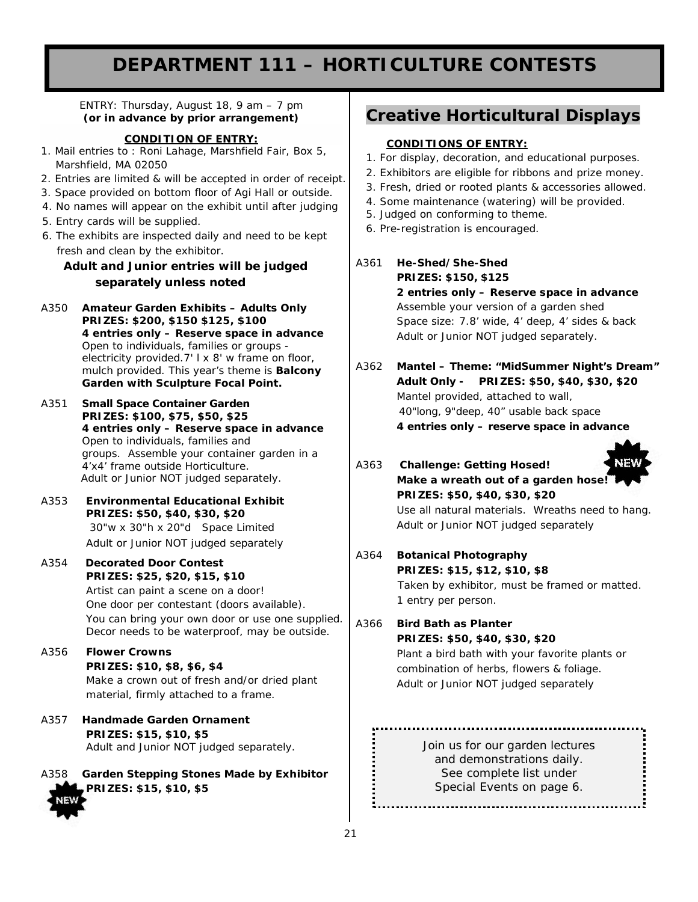# **DEPARTMENT 111 – HORTICULTURE CONTESTS**

ENTRY: Thursday, August 18, 9 am – 7 pm **(or in advance by prior arrangement)**

### **CONDITION OF ENTRY:**

- 1. Mail entries to : Roni Lahage, Marshfield Fair, Box 5, Marshfield, MA 02050
- 2. Entries are limited & will be accepted in order of receipt.
- 3. Space provided on bottom floor of Agi Hall or outside.
- 4. No names will appear on the exhibit until after judging
- 5. Entry cards will be supplied.
- 6. The exhibits are inspected daily and need to be kept fresh and clean by the exhibitor.

### *Adult and Junior entries will be judged separately unless noted*

- A350 **Amateur Garden Exhibits – Adults Only PRIZES: \$200, \$150 \$125, \$100** *4 entries only – Reserve space in advance* Open to individuals, families or groups electricity provided.7' I x 8' w frame on floor, mulch provided. This year's theme is *Balcony Garden with Sculpture Focal Point.*
- A351 **Small Space Container Garden PRIZES: \$100, \$75, \$50, \$25** *4 entries only – Reserve space in advance* Open to individuals, families and groups. Assemble your container garden in a 4'x4' frame outside Horticulture.  *Adult or Junior NOT judged separately.*
- A353 **Environmental Educational Exhibit PRIZES: \$50, \$40, \$30, \$20** 30"w x 30"h x 20"d Space Limited *Adult or Junior NOT judged separately*
- A354 **Decorated Door Contest PRIZES: \$25, \$20, \$15, \$10** Artist can paint a scene on a door! One door per contestant (doors available). You can bring your own door or use one supplied. Decor needs to be waterproof, may be outside.
- A356 **Flower Crowns PRIZES: \$10, \$8, \$6, \$4** Make a crown out of fresh and/or dried plant material, firmly attached to a frame.
- A357 **Handmade Garden Ornament PRIZES: \$15, \$10, \$5** *Adult and Junior NOT judged separately.*

A358 **Garden Stepping Stones Made by Exhibitor PRIZES: \$15, \$10, \$5**

### **Creative Horticultural Displays**

### **CONDITIONS OF ENTRY:**

- 1. For display, decoration, and educational purposes.
- 2. Exhibitors are eligible for ribbons and prize money.
- 3. Fresh, dried or rooted plants & accessories allowed.
- 4. Some maintenance (watering) will be provided.
- 5. Judged on conforming to theme.
- 6. Pre-registration is encouraged.
- A361 **He-Shed/She-Shed PRIZES: \$150, \$125** *2 entries only – Reserve space in advance* Assemble your version of a garden shed Space size: 7.8' wide, 4' deep, 4' sides & back *Adult or Junior NOT judged separately.*
- A362 **Mantel – Theme: "MidSummer Night's Dream" Adult Only - PRIZES: \$50, \$40, \$30, \$20** Mantel provided, attached to wall, 40"long, 9"deep, 40" usable back space **4 entries only – reserve space in advance**

A363 *Challenge: Getting Hosed!*  **Make a wreath out of a garden hose! PRIZES: \$50, \$40, \$30, \$20** Use all natural materials. Wreaths need to hang. *Adult or Junior NOT judged separately*

A364 **Botanical Photography PRIZES: \$15, \$12, \$10, \$8**

Taken by exhibitor, must be framed or matted. 1 entry per person.

A366 *Bird Bath as Planter*  **PRIZES: \$50, \$40, \$30, \$20** Plant a bird bath with your favorite plants or combination of herbs, flowers & foliage. *Adult or Junior NOT judged separately*

> Join us for our garden lectures and demonstrations daily. See complete list under Special Events on page 6.

..................................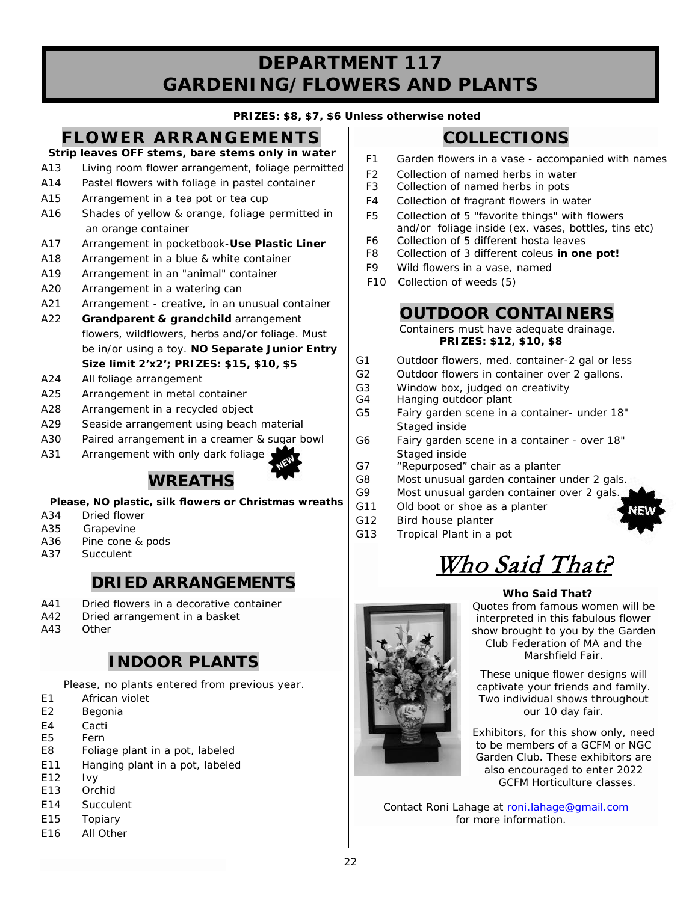# **DEPARTMENT 117 GARDENING/FLOWERS AND PLANTS**

### **PRIZES: \$8, \$7, \$6 Unless otherwise noted**

# **FLOWER ARRANGEMENTS Strip leaves OFF stems, bare stems only in water**

- A13 Living room flower arrangement, foliage permitted
- A14 Pastel flowers with foliage in pastel container
- A15 Arrangement in a tea pot or tea cup
- A16 Shades of yellow & orange, foliage permitted in an orange container
- A17 Arrangement in pocketbook-**Use Plastic Liner**
- A18 Arrangement in a blue & white container
- A19 Arrangement in an "animal" container
- A20 Arrangement in a watering can
- A21 Arrangement creative, in an unusual container
- A22 **Grandparent & grandchild** arrangement flowers, wildflowers, herbs and/or foliage. Must be in/or using a toy. *NO Separate Junior Entry*  **Size limit 2'x2'; PRIZES: \$15, \$10, \$5**
- A24 All foliage arrangement
- A25 Arrangement in metal container
- A28 Arrangement in a recycled object
- A29 Seaside arrangement using beach material
- A30 Paired arrangement in a creamer & sugar bowl
- A31 Arrangement with only dark foliage

# **WREATHS**

### **Please, NO plastic, silk flowers or Christmas wreaths**

- A34 Dried flower
- A35 Grapevine
- A36 Pine cone & pods
- A37 Succulent

# **DRIED ARRANGEMENTS**

- A41 Dried flowers in a decorative container
- A42 Dried arrangement in a basket
- A43 Other

# **INDOOR PLANTS**

 *Please, no plants entered from previous year.*

- E1 African violet
- E2 Begonia
- E4 Cacti
- E5 Fern
- E8 Foliage plant in a pot, labeled
- E11 Hanging plant in a pot, labeled
- E12 Ivy
- E13 Orchid
- E14 Succulent
- E15 Topiary
- E16 All Other

# **COLLECTIONS**

- F1 Garden flowers in a vase accompanied with names
- F2 Collection of named herbs in water<br>F3 Collection of named herbs in pots
- Collection of named herbs in pots
- F4 Collection of fragrant flowers in water
- F5 Collection of 5 "favorite things" with flowers and/or foliage inside (ex. vases, bottles, tins etc)
- F6 Collection of 5 different hosta leaves
- F8 Collection of 3 different coleus **in one pot!**
- F9 Wild flowers in a vase, named
- F10 Collection of weeds (5)

### **OUTDOOR CONTAINERS**

 *Containers must have adequate drainage.*  **PRIZES: \$12, \$10, \$8**

- G1 Outdoor flowers, med. container-2 gal or less
- G2 Outdoor flowers in container over 2 gallons.
- G3 Window box, judged on creativity<br>G4 Hanging outdoor plant
- Hanging outdoor plant
- G5 Fairy garden scene in a container- under 18" Staged inside
- G6 Fairy garden scene in a container over 18" Staged inside
- G7 "Repurposed" chair as a planter
- G8 Most unusual garden container under 2 gals.
- G9 Most unusual garden container over 2 gals.
- G11 Old boot or shoe as a planter
- G12 Bird house planter
- G13 Tropical Plant in a pot

# Who Said That?

### **Who Said That?**

Quotes from famous women will be interpreted in this fabulous flower show brought to you by the Garden Club Federation of MA and the Marshfield Fair.

These unique flower designs will captivate your friends and family. Two individual shows throughout our 10 day fair.

Exhibitors, for this show only, need to be members of a GCFM or NGC Garden Club. These exhibitors are also encouraged to enter 2022 GCFM Horticulture classes.

Contact Roni Lahage at [roni.lahage@gmail.com](mailto:roni.lahage@gmail.com) for more information.